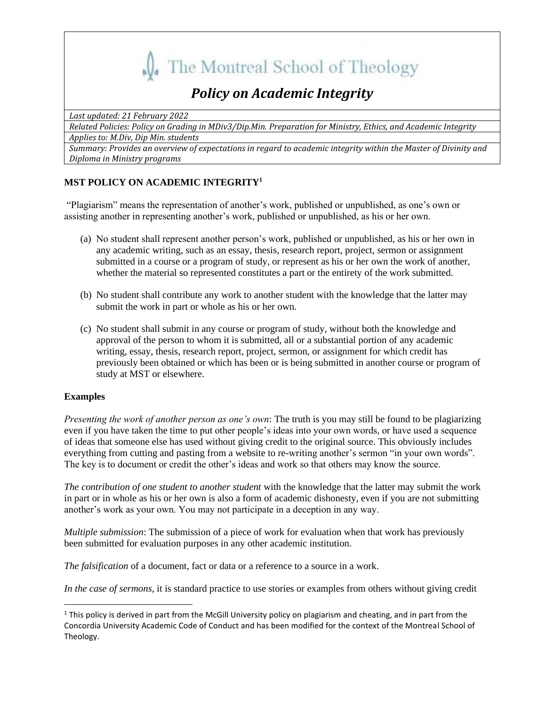

# *Policy on Academic Integrity*

*Last updated: 21 February 2022*

*Related Policies: Policy on Grading in MDiv3/Dip.Min. Preparation for Ministry, Ethics, and Academic Integrity Applies to: M.Div, Dip Min. students*

*Summary: Provides an overview of expectations in regard to academic integrity within the Master of Divinity and Diploma in Ministry programs*

# **MST POLICY ON ACADEMIC INTEGRITY<sup>1</sup>**

"Plagiarism" means the representation of another's work, published or unpublished, as one's own or assisting another in representing another's work, published or unpublished, as his or her own.

- (a) No student shall represent another person's work, published or unpublished, as his or her own in any academic writing, such as an essay, thesis, research report, project, sermon or assignment submitted in a course or a program of study, or represent as his or her own the work of another, whether the material so represented constitutes a part or the entirety of the work submitted.
- (b) No student shall contribute any work to another student with the knowledge that the latter may submit the work in part or whole as his or her own.
- (c) No student shall submit in any course or program of study, without both the knowledge and approval of the person to whom it is submitted, all or a substantial portion of any academic writing, essay, thesis, research report, project, sermon, or assignment for which credit has previously been obtained or which has been or is being submitted in another course or program of study at MST or elsewhere.

## **Examples**

*Presenting the work of another person as one's own*: The truth is you may still be found to be plagiarizing even if you have taken the time to put other people's ideas into your own words, or have used a sequence of ideas that someone else has used without giving credit to the original source. This obviously includes everything from cutting and pasting from a website to re-writing another's sermon "in your own words". The key is to document or credit the other's ideas and work so that others may know the source.

*The contribution of one student to another student* with the knowledge that the latter may submit the work in part or in whole as his or her own is also a form of academic dishonesty, even if you are not submitting another's work as your own. You may not participate in a deception in any way.

*Multiple submission*: The submission of a piece of work for evaluation when that work has previously been submitted for evaluation purposes in any other academic institution.

*The falsification* of a document, fact or data or a reference to a source in a work.

*In the case of sermons*, it is standard practice to use stories or examples from others without giving credit

 $1$  This policy is derived in part from the McGill University policy on plagiarism and cheating, and in part from the Concordia University Academic Code of Conduct and has been modified for the context of the Montreal School of Theology.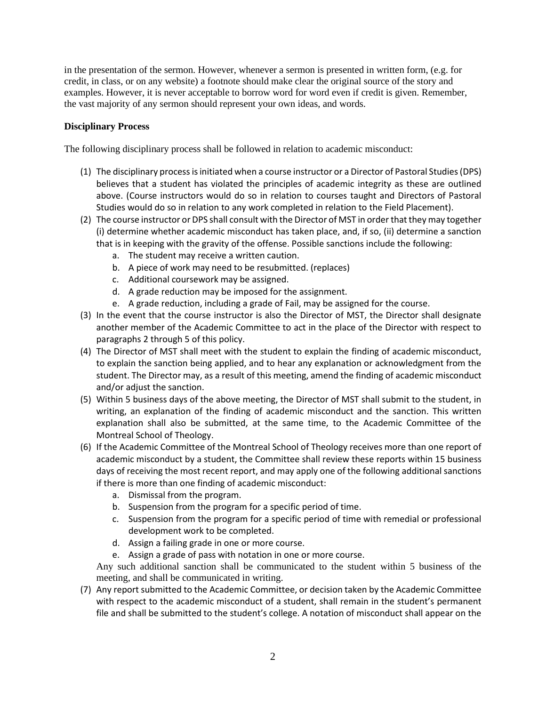in the presentation of the sermon. However, whenever a sermon is presented in written form, (e.g. for credit, in class, or on any website) a footnote should make clear the original source of the story and examples. However, it is never acceptable to borrow word for word even if credit is given. Remember, the vast majority of any sermon should represent your own ideas, and words.

### **Disciplinary Process**

The following disciplinary process shall be followed in relation to academic misconduct:

- (1) The disciplinary process is initiated when a course instructor or a Director of Pastoral Studies (DPS) believes that a student has violated the principles of academic integrity as these are outlined above. (Course instructors would do so in relation to courses taught and Directors of Pastoral Studies would do so in relation to any work completed in relation to the Field Placement).
- (2) The course instructor or DPS shall consult with the Director of MST in order that they may together (i) determine whether academic misconduct has taken place, and, if so, (ii) determine a sanction that is in keeping with the gravity of the offense. Possible sanctions include the following:
	- a. The student may receive a written caution.
	- b. A piece of work may need to be resubmitted. (replaces)
	- c. Additional coursework may be assigned.
	- d. A grade reduction may be imposed for the assignment.
	- e. A grade reduction, including a grade of Fail, may be assigned for the course.
- (3) In the event that the course instructor is also the Director of MST, the Director shall designate another member of the Academic Committee to act in the place of the Director with respect to paragraphs 2 through 5 of this policy.
- (4) The Director of MST shall meet with the student to explain the finding of academic misconduct, to explain the sanction being applied, and to hear any explanation or acknowledgment from the student. The Director may, as a result of this meeting, amend the finding of academic misconduct and/or adjust the sanction.
- (5) Within 5 business days of the above meeting, the Director of MST shall submit to the student, in writing, an explanation of the finding of academic misconduct and the sanction. This written explanation shall also be submitted, at the same time, to the Academic Committee of the Montreal School of Theology.
- (6) If the Academic Committee of the Montreal School of Theology receives more than one report of academic misconduct by a student, the Committee shall review these reports within 15 business days of receiving the most recent report, and may apply one of the following additional sanctions if there is more than one finding of academic misconduct:
	- a. Dismissal from the program.
	- b. Suspension from the program for a specific period of time.
	- c. Suspension from the program for a specific period of time with remedial or professional development work to be completed.
	- d. Assign a failing grade in one or more course.
	- e. Assign a grade of pass with notation in one or more course.

Any such additional sanction shall be communicated to the student within 5 business of the meeting, and shall be communicated in writing.

(7) Any report submitted to the Academic Committee, or decision taken by the Academic Committee with respect to the academic misconduct of a student, shall remain in the student's permanent file and shall be submitted to the student's college. A notation of misconduct shall appear on the